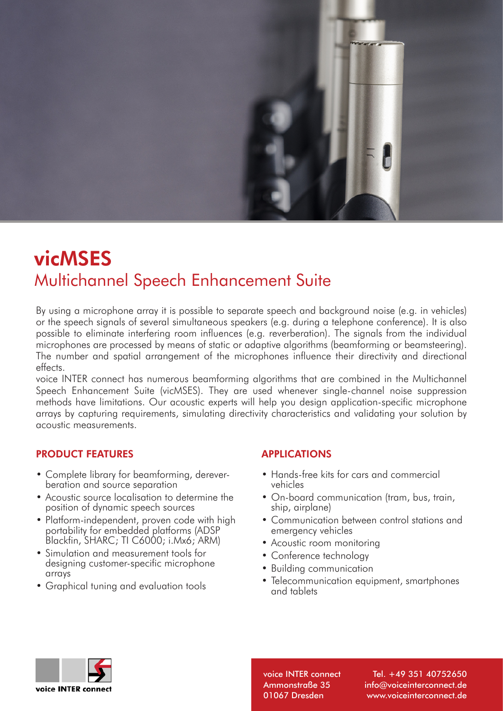

# vicMSES Multichannel Speech Enhancement Suite

By using a microphone array it is possible to separate speech and background noise (e.g. in vehicles) or the speech signals of several simultaneous speakers (e.g. during a telephone conference). It is also possible to eliminate interfering room influences (e.g. reverberation). The signals from the individual microphones are processed by means of static or adaptive algorithms (beamforming or beamsteering). The number and spatial arrangement of the microphones influence their directivity and directional effects.

voice INTER connect has numerous beamforming algorithms that are combined in the Multichannel Speech Enhancement Suite (vicMSES). They are used whenever single-channel noise suppression methods have limitations. Our acoustic experts will help you design application-specific microphone arrays by capturing requirements, simulating directivity characteristics and validating your solution by acoustic measurements.

#### PRODUCT FEATURES

- Complete library for beamforming, dereverberation and source separation
- Acoustic source localisation to determine the position of dynamic speech sources
- Platform-independent, proven code with high portability for embedded platforms (ADSP Blackfin, SHARC; TI C6000; i.Mx6; ARM)
- Simulation and measurement tools for designing customer-specific microphone arrays
- Graphical tuning and evaluation tools

## APPLICATIONS

- Hands-free kits for cars and commercial vehicles
- On-board communication (tram, bus, train, ship, airplane)
- Communication between control stations and emergency vehicles
- Acoustic room monitoring
- Conference technology
- Building communication
- Telecommunication equipment, smartphones and tablets



voice INTER connect Ammonstraße 35 01067 Dresden

Tel. +49 351 40752650 info@voiceinterconnect.de www.voiceinterconnect.de